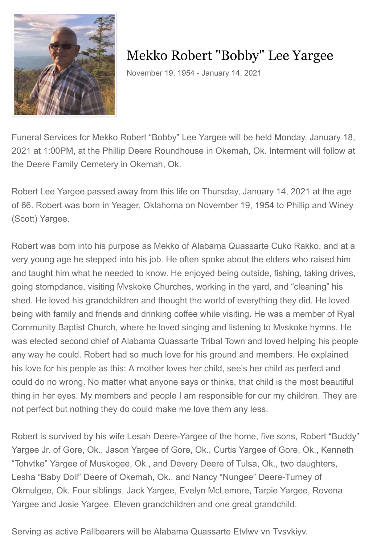

# Mekko Robert "Bobby" Lee Yargee

November 19, 1954 - January 14, 2021

Funeral Services for Mekko Robert "Bobby" Lee Yargee will be held Monday, January 18, 2021 at 1:00PM, at the Phillip Deere Roundhouse in Okemah, Ok. Interment will follow at the Deere Family Cemetery in Okemah, Ok.

Robert Lee Yargee passed away from this life on Thursday, January 14, 2021 at the age of 66. Robert was born in Yeager, Oklahoma on November 19, 1954 to Phillip and Winey (Scott) Yargee.

Robert was born into his purpose as Mekko of Alabama Quassarte Cuko Rakko, and at a very young age he stepped into his job. He often spoke about the elders who raised him and taught him what he needed to know. He enjoyed being outside, fishing, taking drives, going stompdance, visiting Mvskoke Churches, working in the yard, and "cleaning" his shed. He loved his grandchildren and thought the world of everything they did. He loved being with family and friends and drinking coffee while visiting. He was a member of Ryal Community Baptist Church, where he loved singing and listening to Mvskoke hymns. He was elected second chief of Alabama Quassarte Tribal Town and loved helping his people any way he could. Robert had so much love for his ground and members. He explained his love for his people as this: A mother loves her child, see's her child as perfect and could do no wrong. No matter what anyone says or thinks, that child is the most beautiful thing in her eyes. My members and people I am responsible for our my children. They are not perfect but nothing they do could make me love them any less.

Robert is survived by his wife Lesah Deere-Yargee of the home, five sons, Robert "Buddy" Yargee Jr. of Gore, Ok., Jason Yargee of Gore, Ok., Curtis Yargee of Gore, Ok., Kenneth "Tohvtke" Yargee of Muskogee, Ok., and Devery Deere of Tulsa, Ok., two daughters, Lesha "Baby Doll" Deere of Okemah, Ok., and Nancy "Nungee" Deere-Turney of Okmulgee, Ok. Four siblings, Jack Yargee, Evelyn McLemore, Tarpie Yargee, Rovena Yargee and Josie Yargee. Eleven grandchildren and one great grandchild.

Serving as active Pallbearers will be Alabama Quassarte Etvlwv vn Tvsvkiyv.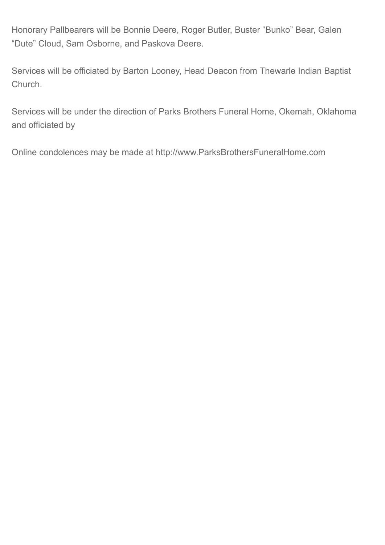Honorary Pallbearers will be Bonnie Deere, Roger Butler, Buster "Bunko" Bear, Galen "Dute" Cloud, Sam Osborne, and Paskova Deere.

Services will be officiated by Barton Looney, Head Deacon from Thewarle Indian Baptist Church.

Services will be under the direction of Parks Brothers Funeral Home, Okemah, Oklahoma and officiated by

Online condolences may be made at http://www.ParksBrothersFuneralHome.com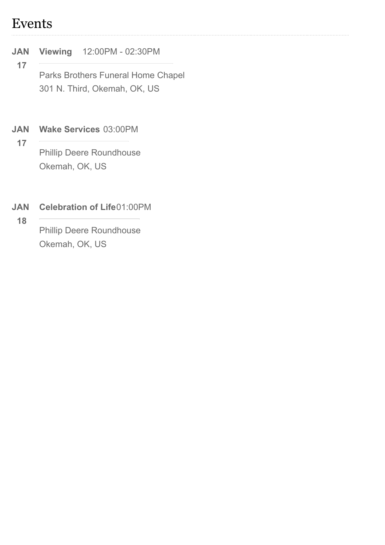### Events

#### **JAN Viewing** 12:00PM - 02:30PM

**17** Parks Brothers Funeral Home Chapel 301 N. Third, Okemah, OK, US

#### **JAN Wake Services** 03:00PM

**17**

Phillip Deere Roundhouse Okemah, OK, US

#### **JAN Celebration of Life**01:00PM

**18**

Phillip Deere Roundhouse Okemah, OK, US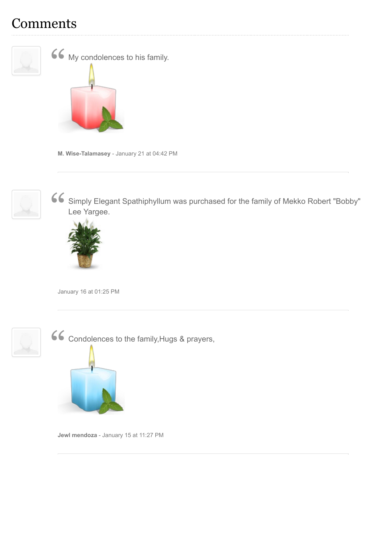## **Comments**



**M. Wise-Talamasey** - January 21 at 04:42 PM



Simply Elegant Spathiphyllum was purchased for the family of Mekko Robert "Bobby" Lee Yargee. "



January 16 at 01:25 PM



Condolences to the family,Hugs & prayers,



**Jewl mendoza** - January 15 at 11:27 PM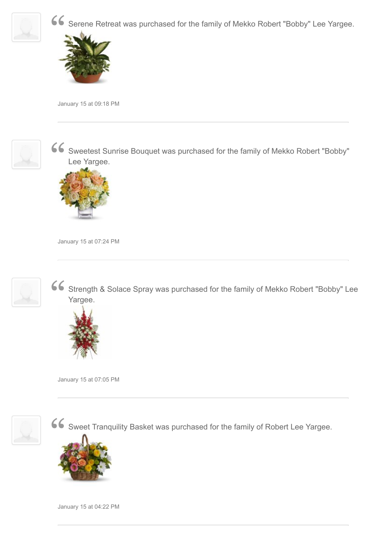

Serene Retreat was purchased for the family of Mekko Robert "Bobby" Lee Yargee.



January 15 at 09:18 PM



Sweetest Sunrise Bouquet was purchased for the family of Mekko Robert "Bobby" Lee Yargee.  $rac{66}{4}$ 



January 15 at 07:24 PM



Strength & Solace Spray was purchased for the family of Mekko Robert "Bobby" Lee Yargee. "



January 15 at 07:05 PM



Sweet Tranquility Basket was purchased for the family of Robert Lee Yargee.



January 15 at 04:22 PM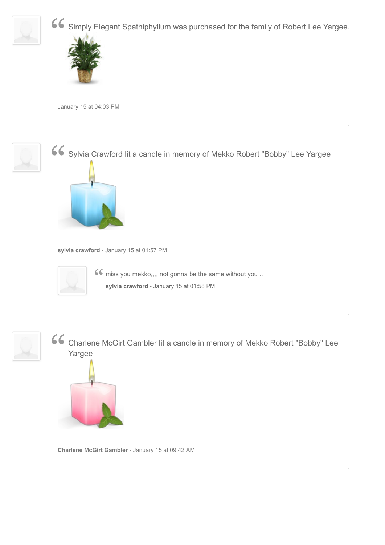

Simply Elegant Spathiphyllum was purchased for the family of Robert Lee Yargee. "



January 15 at 04:03 PM



Sylvia Crawford lit a candle in memory of Mekko Robert "Bobby" Lee Yargee "





**66** miss you mekko,,,, not gonna be the same without you ..<br>sylvia crawford - January 15 at 01:58 PM **sylvia crawford** - January 15 at 01:58 PM



Charlene McGirt Gambler lit a candle in memory of Mekko Robert "Bobby" Lee Yargee "



**Charlene McGirt Gambler** - January 15 at 09:42 AM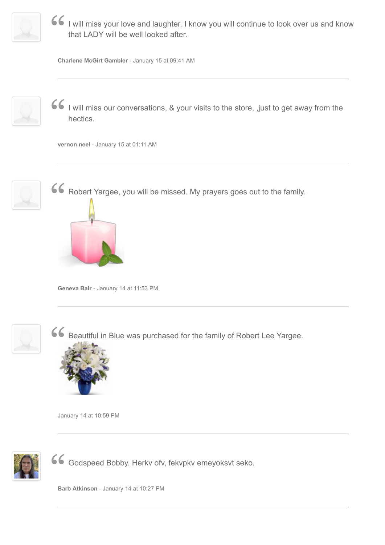

I will miss your love and laughter. I know you will continue to look over us and know that LADY will be well looked after.  $\frac{1}{t}$ 

**Charlene McGirt Gambler** - January 15 at 09:41 AM



I will miss our conversations, & your visits to the store, ,just to get away from the hectics.  $\frac{1}{2}$ 

**vernon neel** - January 15 at 01:11 AM



Robert Yargee, you will be missed. My prayers goes out to the family.



**Geneva Bair** - January 14 at 11:53 PM



Beautiful in Blue was purchased for the family of Robert Lee Yargee.



January 14 at 10:59 PM



Godspeed Bobby. Herkv ofv, fekvpkv emeyoksvt seko. "

**Barb Atkinson** - January 14 at 10:27 PM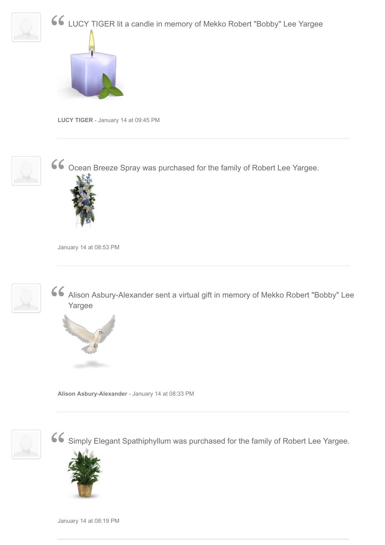



**LUCY TIGER** - January 14 at 09:45 PM



Ocean Breeze Spray was purchased for the family of Robert Lee Yargee. "



January 14 at 08:53 PM



Alison Asbury-Alexander sent a virtual gift in memory of Mekko Robert "Bobby" Lee Yargee  $\frac{1}{\sqrt{2}}$ 



**Alison Asbury-Alexander** - January 14 at 08:33 PM



Simply Elegant Spathiphyllum was purchased for the family of Robert Lee Yargee. "



January 14 at 08:19 PM